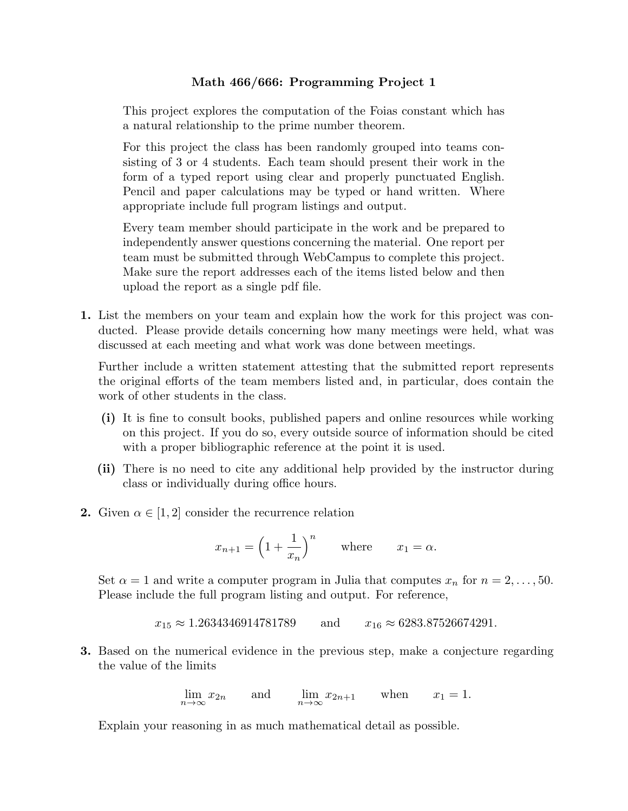## **Math 466/666: Programming Project 1**

This project explores the computation of the Foias constant which has a natural relationship to the prime number theorem.

For this project the class has been randomly grouped into teams consisting of 3 or 4 students. Each team should present their work in the form of a typed report using clear and properly punctuated English. Pencil and paper calculations may be typed or hand written. Where appropriate include full program listings and output.

Every team member should participate in the work and be prepared to independently answer questions concerning the material. One report per team must be submitted through WebCampus to complete this project. Make sure the report addresses each of the items listed below and then upload the report as a single pdf file.

**1.** List the members on your team and explain how the work for this project was conducted. Please provide details concerning how many meetings were held, what was discussed at each meeting and what work was done between meetings.

Further include a written statement attesting that the submitted report represents the original efforts of the team members listed and, in particular, does contain the work of other students in the class.

- **(i)** It is fine to consult books, published papers and online resources while working on this project. If you do so, every outside source of information should be cited with a proper bibliographic reference at the point it is used.
- **(ii)** There is no need to cite any additional help provided by the instructor during class or individually during office hours.
- **2.** Given  $\alpha \in [1, 2]$  consider the recurrence relation

$$
x_{n+1} = \left(1 + \frac{1}{x_n}\right)^n \quad \text{where} \quad x_1 = \alpha.
$$

Set  $\alpha = 1$  and write a computer program in Julia that computes  $x_n$  for  $n = 2, \ldots, 50$ . Please include the full program listing and output. For reference,

$$
x_{15} \approx 1.2634346914781789
$$
 and  $x_{16} \approx 6283.87526674291$ .

**3.** Based on the numerical evidence in the previous step, make a conjecture regarding the value of the limits

$$
\lim_{n \to \infty} x_{2n} \quad \text{and} \quad \lim_{n \to \infty} x_{2n+1} \quad \text{when} \quad x_1 = 1.
$$

Explain your reasoning in as much mathematical detail as possible.